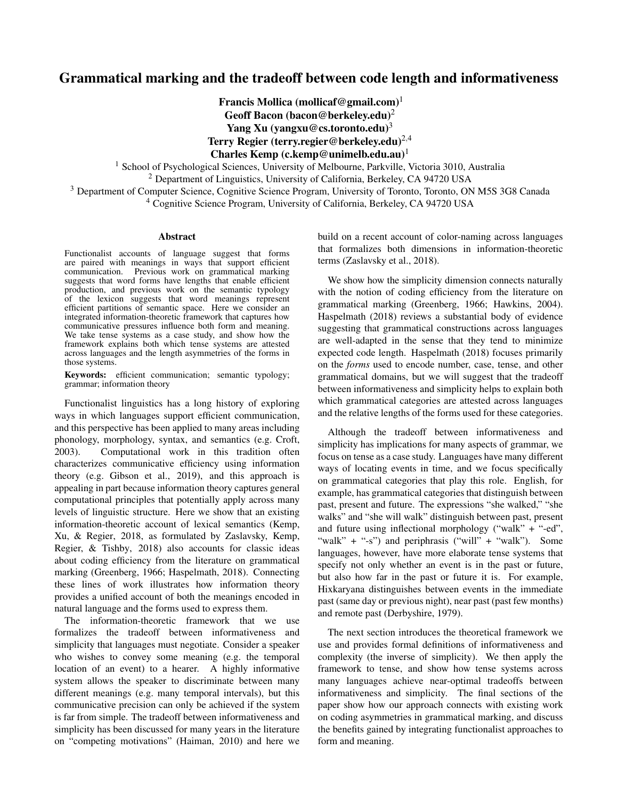# Grammatical marking and the tradeoff between code length and informativeness

Francis Mollica (mollicaf@gmail.com)<sup>1</sup> Geoff Bacon (bacon@berkeley.edu)<sup>2</sup> Yang Xu (yangxu@cs.toronto.edu)<sup>3</sup> Terry Regier (terry.regier@berkeley.edu) $^{2,4}$ Charles Kemp (c.kemp@unimelb.edu.au)<sup>1</sup>

<sup>1</sup> School of Psychological Sciences, University of Melbourne, Parkville, Victoria 3010, Australia <sup>2</sup> Department of Linguistics, University of California, Berkeley, CA 94720 USA

<sup>3</sup> Department of Computer Science, Cognitive Science Program, University of Toronto, Toronto, ON M5S 3G8 Canada <sup>4</sup> Cognitive Science Program, University of California, Berkeley, CA 94720 USA

#### Abstract

Functionalist accounts of language suggest that forms are paired with meanings in ways that support efficient communication. Previous work on grammatical marking suggests that word forms have lengths that enable efficient production, and previous work on the semantic typology of the lexicon suggests that word meanings represent efficient partitions of semantic space. Here we consider an integrated information-theoretic framework that captures how communicative pressures influence both form and meaning. We take tense systems as a case study, and show how the framework explains both which tense systems are attested across languages and the length asymmetries of the forms in those systems.

Keywords: efficient communication; semantic typology; grammar; information theory

Functionalist linguistics has a long history of exploring ways in which languages support efficient communication, and this perspective has been applied to many areas including phonology, morphology, syntax, and semantics (e.g. Croft, 2003). Computational work in this tradition often characterizes communicative efficiency using information theory (e.g. Gibson et al., 2019), and this approach is appealing in part because information theory captures general computational principles that potentially apply across many levels of linguistic structure. Here we show that an existing information-theoretic account of lexical semantics (Kemp, Xu, & Regier, 2018, as formulated by Zaslavsky, Kemp, Regier, & Tishby, 2018) also accounts for classic ideas about coding efficiency from the literature on grammatical marking (Greenberg, 1966; Haspelmath, 2018). Connecting these lines of work illustrates how information theory provides a unified account of both the meanings encoded in natural language and the forms used to express them.

The information-theoretic framework that we use formalizes the tradeoff between informativeness and simplicity that languages must negotiate. Consider a speaker who wishes to convey some meaning (e.g. the temporal location of an event) to a hearer. A highly informative system allows the speaker to discriminate between many different meanings (e.g. many temporal intervals), but this communicative precision can only be achieved if the system is far from simple. The tradeoff between informativeness and simplicity has been discussed for many years in the literature on "competing motivations" (Haiman, 2010) and here we

build on a recent account of color-naming across languages that formalizes both dimensions in information-theoretic terms (Zaslavsky et al., 2018).

We show how the simplicity dimension connects naturally with the notion of coding efficiency from the literature on grammatical marking (Greenberg, 1966; Hawkins, 2004). Haspelmath (2018) reviews a substantial body of evidence suggesting that grammatical constructions across languages are well-adapted in the sense that they tend to minimize expected code length. Haspelmath (2018) focuses primarily on the *forms* used to encode number, case, tense, and other grammatical domains, but we will suggest that the tradeoff between informativeness and simplicity helps to explain both which grammatical categories are attested across languages and the relative lengths of the forms used for these categories.

Although the tradeoff between informativeness and simplicity has implications for many aspects of grammar, we focus on tense as a case study. Languages have many different ways of locating events in time, and we focus specifically on grammatical categories that play this role. English, for example, has grammatical categories that distinguish between past, present and future. The expressions "she walked," "she walks" and "she will walk" distinguish between past, present and future using inflectional morphology ("walk" + "-ed", "walk" + " $-s$ ") and periphrasis ("will" + "walk"). Some languages, however, have more elaborate tense systems that specify not only whether an event is in the past or future, but also how far in the past or future it is. For example, Hixkaryana distinguishes between events in the immediate past (same day or previous night), near past (past few months) and remote past (Derbyshire, 1979).

The next section introduces the theoretical framework we use and provides formal definitions of informativeness and complexity (the inverse of simplicity). We then apply the framework to tense, and show how tense systems across many languages achieve near-optimal tradeoffs between informativeness and simplicity. The final sections of the paper show how our approach connects with existing work on coding asymmetries in grammatical marking, and discuss the benefits gained by integrating functionalist approaches to form and meaning.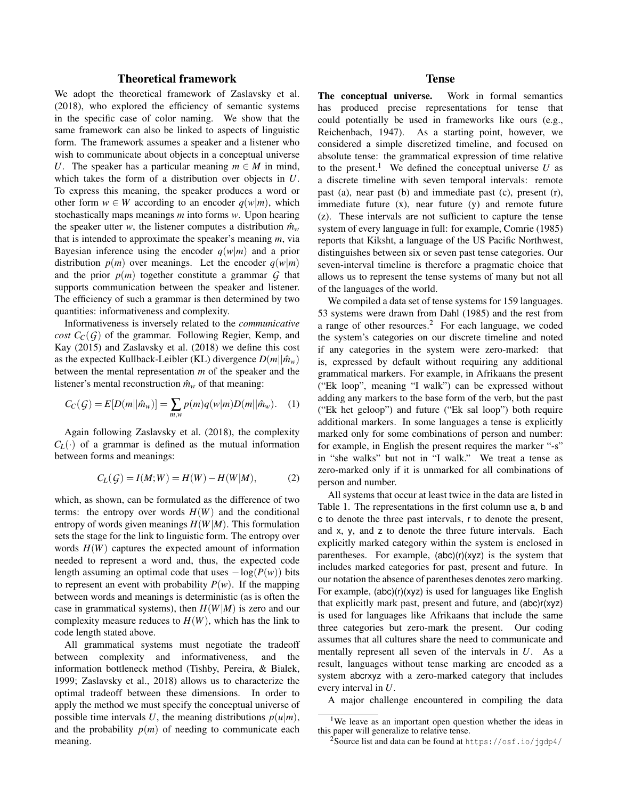# Theoretical framework

We adopt the theoretical framework of Zaslavsky et al. (2018), who explored the efficiency of semantic systems in the specific case of color naming. We show that the same framework can also be linked to aspects of linguistic form. The framework assumes a speaker and a listener who wish to communicate about objects in a conceptual universe *U*. The speaker has a particular meaning  $m \in M$  in mind, which takes the form of a distribution over objects in *U*. To express this meaning, the speaker produces a word or other form  $w \in W$  according to an encoder  $q(w|m)$ , which stochastically maps meanings *m* into forms *w*. Upon hearing the speaker utter *w*, the listener computes a distribution  $\hat{m}_w$ that is intended to approximate the speaker's meaning *m*, via Bayesian inference using the encoder  $q(w|m)$  and a prior distribution  $p(m)$  over meanings. Let the encoder  $q(w|m)$ and the prior  $p(m)$  together constitute a grammar  $G$  that supports communication between the speaker and listener. The efficiency of such a grammar is then determined by two quantities: informativeness and complexity.

Informativeness is inversely related to the *communicative cost*  $C_C(G)$  of the grammar. Following Regier, Kemp, and Kay (2015) and Zaslavsky et al. (2018) we define this cost as the expected Kullback-Leibler (KL) divergence  $D(m||\hat{m}_w)$ between the mental representation *m* of the speaker and the listener's mental reconstruction  $\hat{m}_w$  of that meaning:

$$
C_C(G) = E[D(m||\hat{m}_w)] = \sum_{m,w} p(m)q(w|m)D(m||\hat{m}_w).
$$
 (1)

Again following Zaslavsky et al. (2018), the complexity  $C_L(\cdot)$  of a grammar is defined as the mutual information between forms and meanings:

$$
C_L(G) = I(M;W) = H(W) - H(W|M), \tag{2}
$$

which, as shown, can be formulated as the difference of two terms: the entropy over words  $H(W)$  and the conditional entropy of words given meanings  $H(W|M)$ . This formulation sets the stage for the link to linguistic form. The entropy over words  $H(W)$  captures the expected amount of information needed to represent a word and, thus, the expected code length assuming an optimal code that uses  $-\log(P(w))$  bits to represent an event with probability  $P(w)$ . If the mapping between words and meanings is deterministic (as is often the case in grammatical systems), then  $H(W|M)$  is zero and our complexity measure reduces to  $H(W)$ , which has the link to code length stated above.

All grammatical systems must negotiate the tradeoff between complexity and informativeness, and the information bottleneck method (Tishby, Pereira, & Bialek, 1999; Zaslavsky et al., 2018) allows us to characterize the optimal tradeoff between these dimensions. In order to apply the method we must specify the conceptual universe of possible time intervals *U*, the meaning distributions  $p(u|m)$ , and the probability  $p(m)$  of needing to communicate each meaning.

#### Tense

The conceptual universe. Work in formal semantics has produced precise representations for tense that could potentially be used in frameworks like ours (e.g., Reichenbach, 1947). As a starting point, however, we considered a simple discretized timeline, and focused on absolute tense: the grammatical expression of time relative to the present.<sup>1</sup> We defined the conceptual universe  $U$  as a discrete timeline with seven temporal intervals: remote past (a), near past (b) and immediate past (c), present (r), immediate future  $(x)$ , near future  $(y)$  and remote future (z). These intervals are not sufficient to capture the tense system of every language in full: for example, Comrie (1985) reports that Kiksht, a language of the US Pacific Northwest, distinguishes between six or seven past tense categories. Our seven-interval timeline is therefore a pragmatic choice that allows us to represent the tense systems of many but not all of the languages of the world.

We compiled a data set of tense systems for 159 languages. 53 systems were drawn from Dahl (1985) and the rest from a range of other resources.<sup>2</sup> For each language, we coded the system's categories on our discrete timeline and noted if any categories in the system were zero-marked: that is, expressed by default without requiring any additional grammatical markers. For example, in Afrikaans the present ("Ek loop", meaning "I walk") can be expressed without adding any markers to the base form of the verb, but the past ("Ek het geloop") and future ("Ek sal loop") both require additional markers. In some languages a tense is explicitly marked only for some combinations of person and number: for example, in English the present requires the marker "-s" in "she walks" but not in "I walk." We treat a tense as zero-marked only if it is unmarked for all combinations of person and number.

All systems that occur at least twice in the data are listed in Table 1. The representations in the first column use a, b and c to denote the three past intervals, r to denote the present, and x, y, and z to denote the three future intervals. Each explicitly marked category within the system is enclosed in parentheses. For example,  $(abc)(r)(xyz)$  is the system that includes marked categories for past, present and future. In our notation the absence of parentheses denotes zero marking. For example, (abc)(r)(xyz) is used for languages like English that explicitly mark past, present and future, and (abc)r(xyz) is used for languages like Afrikaans that include the same three categories but zero-mark the present. Our coding assumes that all cultures share the need to communicate and mentally represent all seven of the intervals in *U*. As a result, languages without tense marking are encoded as a system abcrxyz with a zero-marked category that includes every interval in *U*.

A major challenge encountered in compiling the data

<sup>&</sup>lt;sup>1</sup>We leave as an important open question whether the ideas in this paper will generalize to relative tense.

<sup>&</sup>lt;sup>2</sup>Source list and data can be found at  $https://osf.io/jgdp4/$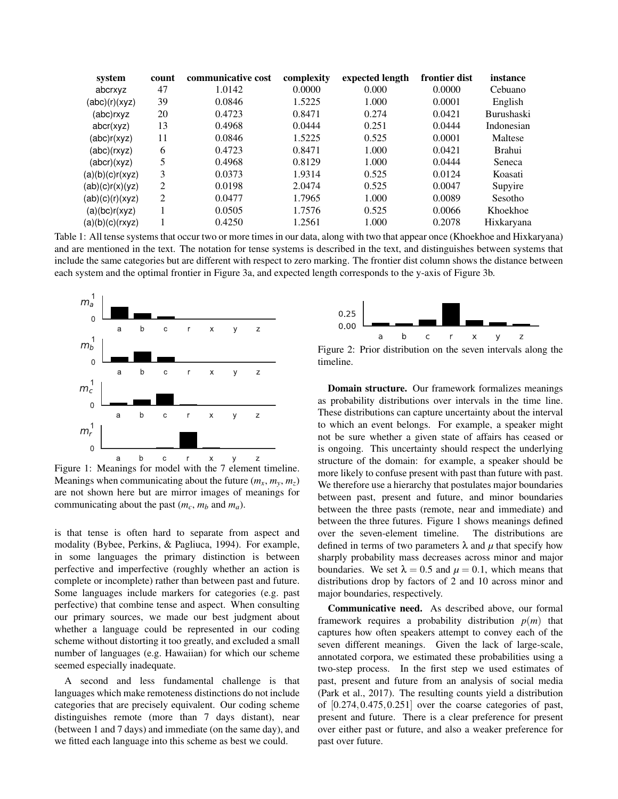| system          | count | communicative cost | complexity | expected length | frontier dist | instance          |
|-----------------|-------|--------------------|------------|-----------------|---------------|-------------------|
| abcrxyz         | 47    | 1.0142             | 0.0000     | 0.000           | 0.0000        | Cebuano           |
| (abc)(r)(xyz)   | 39    | 0.0846             | 1.5225     | 1.000           | 0.0001        | English           |
| (abc)rxyz       | 20    | 0.4723             | 0.8471     | 0.274           | 0.0421        | <b>Burushaski</b> |
| abcr(xyz)       | 13    | 0.4968             | 0.0444     | 0.251           | 0.0444        | Indonesian        |
| (abc)r(xyz)     | 11    | 0.0846             | 1.5225     | 0.525           | 0.0001        | Maltese           |
| (abc)(rxyz)     | 6     | 0.4723             | 0.8471     | 1.000           | 0.0421        | <b>Brahui</b>     |
| (abcr)(xyz)     | 5     | 0.4968             | 0.8129     | 1.000           | 0.0444        | Seneca            |
| (a)(b)(c)r(xyz) | 3     | 0.0373             | 1.9314     | 0.525           | 0.0124        | Koasati           |
| (ab)(c)r(x)(yz) | 2     | 0.0198             | 2.0474     | 0.525           | 0.0047        | Supyire           |
| (ab)(c)(r)(xyz) | 2     | 0.0477             | 1.7965     | 1.000           | 0.0089        | Sesotho           |
| (a)(bc)r(xyz)   |       | 0.0505             | 1.7576     | 0.525           | 0.0066        | Khoekhoe          |
| (a)(b)(c)(rxyz) |       | 0.4250             | 1.2561     | 1.000           | 0.2078        | Hixkaryana        |

Table 1: All tense systems that occur two or more times in our data, along with two that appear once (Khoekhoe and Hixkaryana) and are mentioned in the text. The notation for tense systems is described in the text, and distinguishes between systems that include the same categories but are different with respect to zero marking. The frontier dist column shows the distance between each system and the optimal frontier in Figure 3a, and expected length corresponds to the y-axis of Figure 3b.



Figure 1: Meanings for model with the 7 element timeline. Meanings when communicating about the future  $(m_x, m_y, m_z)$ are not shown here but are mirror images of meanings for communicating about the past  $(m_c, m_b \text{ and } m_a)$ .

is that tense is often hard to separate from aspect and modality (Bybee, Perkins, & Pagliuca, 1994). For example, in some languages the primary distinction is between perfective and imperfective (roughly whether an action is complete or incomplete) rather than between past and future. Some languages include markers for categories (e.g. past perfective) that combine tense and aspect. When consulting our primary sources, we made our best judgment about whether a language could be represented in our coding scheme without distorting it too greatly, and excluded a small number of languages (e.g. Hawaiian) for which our scheme seemed especially inadequate.

A second and less fundamental challenge is that languages which make remoteness distinctions do not include categories that are precisely equivalent. Our coding scheme distinguishes remote (more than 7 days distant), near (between 1 and 7 days) and immediate (on the same day), and we fitted each language into this scheme as best we could.



Figure 2: Prior distribution on the seven intervals along the timeline.

Domain structure. Our framework formalizes meanings as probability distributions over intervals in the time line. These distributions can capture uncertainty about the interval to which an event belongs. For example, a speaker might not be sure whether a given state of affairs has ceased or is ongoing. This uncertainty should respect the underlying structure of the domain: for example, a speaker should be more likely to confuse present with past than future with past. We therefore use a hierarchy that postulates major boundaries between past, present and future, and minor boundaries between the three pasts (remote, near and immediate) and between the three futures. Figure 1 shows meanings defined over the seven-element timeline. The distributions are defined in terms of two parameters  $\lambda$  and  $\mu$  that specify how sharply probability mass decreases across minor and major boundaries. We set  $\lambda = 0.5$  and  $\mu = 0.1$ , which means that distributions drop by factors of 2 and 10 across minor and major boundaries, respectively.

Communicative need. As described above, our formal framework requires a probability distribution  $p(m)$  that captures how often speakers attempt to convey each of the seven different meanings. Given the lack of large-scale, annotated corpora, we estimated these probabilities using a two-step process. In the first step we used estimates of past, present and future from an analysis of social media (Park et al., 2017). The resulting counts yield a distribution of [0.274,0.475,0.251] over the coarse categories of past, present and future. There is a clear preference for present over either past or future, and also a weaker preference for past over future.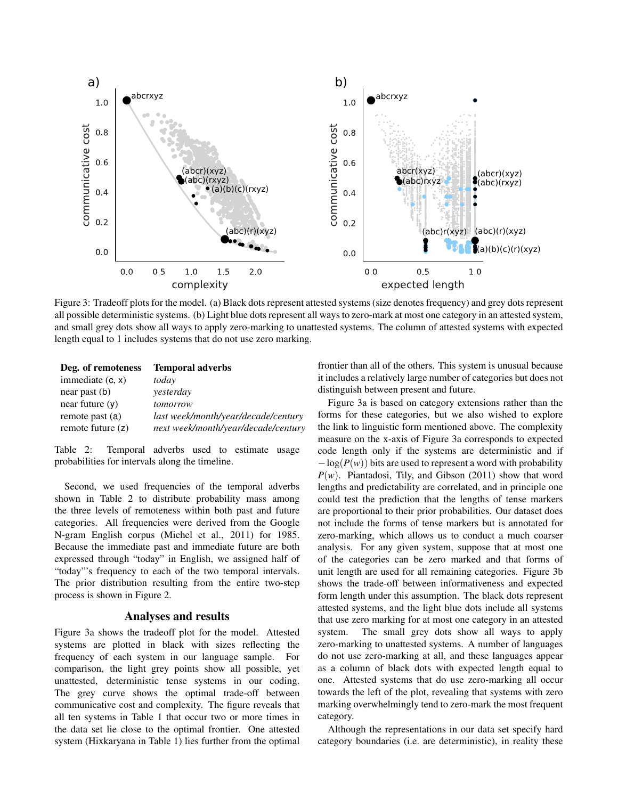

Figure 3: Tradeoff plots for the model. (a) Black dots represent attested systems (size denotes frequency) and grey dots represent all possible deterministic systems. (b) Light blue dots represent all ways to zero-mark at most one category in an attested system, and small grey dots show all ways to apply zero-marking to unattested systems. The column of attested systems with expected length equal to 1 includes systems that do not use zero marking.

| Deg. of remoteness  | <b>Temporal adverbs</b>             |
|---------------------|-------------------------------------|
| immediate $(c, x)$  | today                               |
| $near$ past $(b)$   | yesterday                           |
| near future $(v)$   | tomorrow                            |
| remote past (a)     | last week/month/year/decade/century |
| remote future $(z)$ | next week/month/year/decade/century |

Table 2: Temporal adverbs used to estimate usage probabilities for intervals along the timeline.

Second, we used frequencies of the temporal adverbs shown in Table 2 to distribute probability mass among the three levels of remoteness within both past and future categories. All frequencies were derived from the Google N-gram English corpus (Michel et al., 2011) for 1985. Because the immediate past and immediate future are both expressed through "today" in English, we assigned half of "today"'s frequency to each of the two temporal intervals. The prior distribution resulting from the entire two-step process is shown in Figure 2.

## Analyses and results

Figure 3a shows the tradeoff plot for the model. Attested systems are plotted in black with sizes reflecting the frequency of each system in our language sample. For comparison, the light grey points show all possible, yet unattested, deterministic tense systems in our coding. The grey curve shows the optimal trade-off between communicative cost and complexity. The figure reveals that all ten systems in Table 1 that occur two or more times in the data set lie close to the optimal frontier. One attested system (Hixkaryana in Table 1) lies further from the optimal frontier than all of the others. This system is unusual because it includes a relatively large number of categories but does not distinguish between present and future.

Figure 3a is based on category extensions rather than the forms for these categories, but we also wished to explore the link to linguistic form mentioned above. The complexity measure on the x-axis of Figure 3a corresponds to expected code length only if the systems are deterministic and if  $-\log(P(w))$  bits are used to represent a word with probability *P*(*w*). Piantadosi, Tily, and Gibson (2011) show that word lengths and predictability are correlated, and in principle one could test the prediction that the lengths of tense markers are proportional to their prior probabilities. Our dataset does not include the forms of tense markers but is annotated for zero-marking, which allows us to conduct a much coarser analysis. For any given system, suppose that at most one of the categories can be zero marked and that forms of unit length are used for all remaining categories. Figure 3b shows the trade-off between informativeness and expected form length under this assumption. The black dots represent attested systems, and the light blue dots include all systems that use zero marking for at most one category in an attested system. The small grey dots show all ways to apply zero-marking to unattested systems. A number of languages do not use zero-marking at all, and these languages appear as a column of black dots with expected length equal to one. Attested systems that do use zero-marking all occur towards the left of the plot, revealing that systems with zero marking overwhelmingly tend to zero-mark the most frequent category.

Although the representations in our data set specify hard category boundaries (i.e. are deterministic), in reality these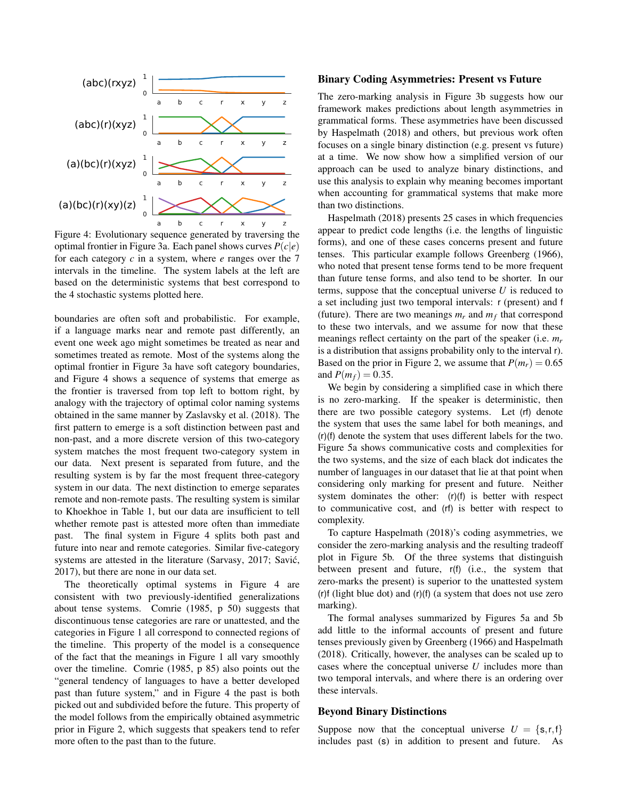

Figure 4: Evolutionary sequence generated by traversing the optimal frontier in Figure 3a. Each panel shows curves *P*(*c*|*e*) for each category *c* in a system, where *e* ranges over the 7 intervals in the timeline. The system labels at the left are based on the deterministic systems that best correspond to the 4 stochastic systems plotted here.

boundaries are often soft and probabilistic. For example, if a language marks near and remote past differently, an event one week ago might sometimes be treated as near and sometimes treated as remote. Most of the systems along the optimal frontier in Figure 3a have soft category boundaries, and Figure 4 shows a sequence of systems that emerge as the frontier is traversed from top left to bottom right, by analogy with the trajectory of optimal color naming systems obtained in the same manner by Zaslavsky et al. (2018). The first pattern to emerge is a soft distinction between past and non-past, and a more discrete version of this two-category system matches the most frequent two-category system in our data. Next present is separated from future, and the resulting system is by far the most frequent three-category system in our data. The next distinction to emerge separates remote and non-remote pasts. The resulting system is similar to Khoekhoe in Table 1, but our data are insufficient to tell whether remote past is attested more often than immediate past. The final system in Figure 4 splits both past and future into near and remote categories. Similar five-category systems are attested in the literature (Sarvasy, 2017; Savić, 2017), but there are none in our data set.

The theoretically optimal systems in Figure 4 are consistent with two previously-identified generalizations about tense systems. Comrie (1985, p 50) suggests that discontinuous tense categories are rare or unattested, and the categories in Figure 1 all correspond to connected regions of the timeline. This property of the model is a consequence of the fact that the meanings in Figure 1 all vary smoothly over the timeline. Comrie (1985, p 85) also points out the "general tendency of languages to have a better developed past than future system," and in Figure 4 the past is both picked out and subdivided before the future. This property of the model follows from the empirically obtained asymmetric prior in Figure 2, which suggests that speakers tend to refer more often to the past than to the future.

#### Binary Coding Asymmetries: Present vs Future

The zero-marking analysis in Figure 3b suggests how our framework makes predictions about length asymmetries in grammatical forms. These asymmetries have been discussed by Haspelmath (2018) and others, but previous work often focuses on a single binary distinction (e.g. present vs future) at a time. We now show how a simplified version of our approach can be used to analyze binary distinctions, and use this analysis to explain why meaning becomes important when accounting for grammatical systems that make more than two distinctions.

Haspelmath (2018) presents 25 cases in which frequencies appear to predict code lengths (i.e. the lengths of linguistic forms), and one of these cases concerns present and future tenses. This particular example follows Greenberg (1966), who noted that present tense forms tend to be more frequent than future tense forms, and also tend to be shorter. In our terms, suppose that the conceptual universe *U* is reduced to a set including just two temporal intervals: r (present) and f (future). There are two meanings  $m_r$  and  $m_f$  that correspond to these two intervals, and we assume for now that these meanings reflect certainty on the part of the speaker (i.e. *m<sup>r</sup>* is a distribution that assigns probability only to the interval r). Based on the prior in Figure 2, we assume that  $P(m_r) = 0.65$ and  $P(m_f) = 0.35$ .

We begin by considering a simplified case in which there is no zero-marking. If the speaker is deterministic, then there are two possible category systems. Let (rf) denote the system that uses the same label for both meanings, and (r)(f) denote the system that uses different labels for the two. Figure 5a shows communicative costs and complexities for the two systems, and the size of each black dot indicates the number of languages in our dataset that lie at that point when considering only marking for present and future. Neither system dominates the other: (r)(f) is better with respect to communicative cost, and (rf) is better with respect to complexity.

To capture Haspelmath (2018)'s coding asymmetries, we consider the zero-marking analysis and the resulting tradeoff plot in Figure 5b. Of the three systems that distinguish between present and future, r(f) (i.e., the system that zero-marks the present) is superior to the unattested system (r)f (light blue dot) and (r)(f) (a system that does not use zero marking).

The formal analyses summarized by Figures 5a and 5b add little to the informal accounts of present and future tenses previously given by Greenberg (1966) and Haspelmath (2018). Critically, however, the analyses can be scaled up to cases where the conceptual universe *U* includes more than two temporal intervals, and where there is an ordering over these intervals.

### Beyond Binary Distinctions

Suppose now that the conceptual universe  $U = \{s, r, f\}$ includes past (s) in addition to present and future. As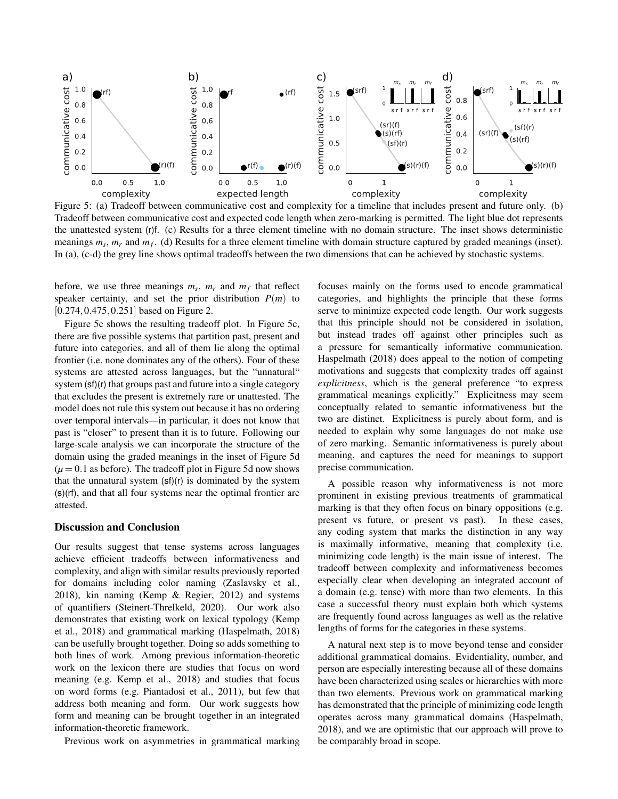

Figure 5: (a) Tradeoff between communicative cost and complexity for a timeline that includes present and future only. (b) Tradeoff between communicative cost and expected code length when zero-marking is permitted. The light blue dot represents the unattested system (r)f. (c) Results for a three element timeline with no domain structure. The inset shows deterministic meanings  $m_s$ ,  $m_r$  and  $m_f$ . (d) Results for a three element timeline with domain structure captured by graded meanings (inset). In (a), (c-d) the grey line shows optimal tradeoffs between the two dimensions that can be achieved by stochastic systems.

before, we use three meanings  $m_s$ ,  $m_r$  and  $m_f$  that reflect speaker certainty, and set the prior distribution  $P(m)$  to [0.274, 0.475, 0.251] based on Figure 2.

Figure 5c shows the resulting tradeoff plot. In Figure 5c, there are five possible systems that partition past, present and future into categories, and all of them lie along the optimal frontier (i.e. none dominates any of the others). Four of these systems are attested across languages, but the "unnatural" system (sf)(r) that groups past and future into a single category that excludes the present is extremely rare or unattested. The model does not rule this system out because it has no ordering over temporal intervals—in particular, it does not know that past is "closer" to present than it is to future. Following our large-scale analysis we can incorporate the structure of the domain using the graded meanings in the inset of Figure 5d  $(\mu = 0.1$  as before). The tradeoff plot in Figure 5d now shows that the unnatural system (sf)(r) is dominated by the system (s)(rf), and that all four systems near the optimal frontier are attested.

#### Discussion and Conclusion

Our results suggest that tense systems across languages achieve efficient tradeoffs between informativeness and complexity, and align with similar results previously reported for domains including color naming (Zaslavsky et al., 2018), kin naming (Kemp & Regier, 2012) and systems of quantifiers (Steinert-Threlkeld, 2020). Our work also demonstrates that existing work on lexical typology (Kemp et al., 2018) and grammatical marking (Haspelmath, 2018) can be usefully brought together. Doing so adds something to both lines of work. Among previous information-theoretic work on the lexicon there are studies that focus on word meaning (e.g. Kemp et al., 2018) and studies that focus on word forms (e.g. Piantadosi et al., 2011), but few that address both meaning and form. Our work suggests how form and meaning can be brought together in an integrated information-theoretic framework.

Previous work on asymmetries in grammatical marking

focuses mainly on the forms used to encode grammatical categories, and highlights the principle that these forms serve to minimize expected code length. Our work suggests that this principle should not be considered in isolation, but instead trades off against other principles such as a pressure for semantically informative communication. Haspelmath (2018) does appeal to the notion of competing motivations and suggests that complexity trades off against *explicitness*, which is the general preference "to express grammatical meanings explicitly." Explicitness may seem conceptually related to semantic informativeness but the two are distinct. Explicitness is purely about form, and is needed to explain why some languages do not make use of zero marking. Semantic informativeness is purely about meaning, and captures the need for meanings to support precise communication.

A possible reason why informativeness is not more prominent in existing previous treatments of grammatical marking is that they often focus on binary oppositions (e.g. present vs future, or present vs past). In these cases, any coding system that marks the distinction in any way is maximally informative, meaning that complexity (i.e. minimizing code length) is the main issue of interest. The tradeoff between complexity and informativeness becomes especially clear when developing an integrated account of a domain (e.g. tense) with more than two elements. In this case a successful theory must explain both which systems are frequently found across languages as well as the relative lengths of forms for the categories in these systems.

A natural next step is to move beyond tense and consider additional grammatical domains. Evidentiality, number, and person are especially interesting because all of these domains have been characterized using scales or hierarchies with more than two elements. Previous work on grammatical marking has demonstrated that the principle of minimizing code length operates across many grammatical domains (Haspelmath, 2018), and we are optimistic that our approach will prove to be comparably broad in scope.